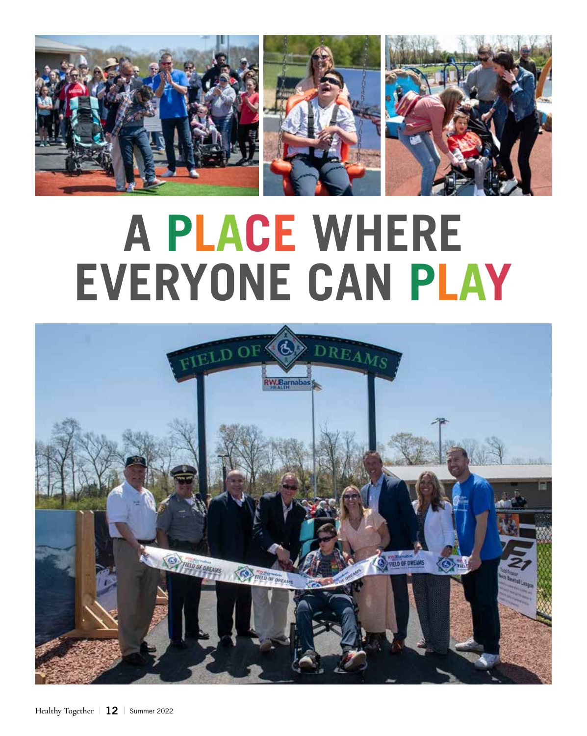

## **A PLACE WHERE EVERYONE CAN PLAY**